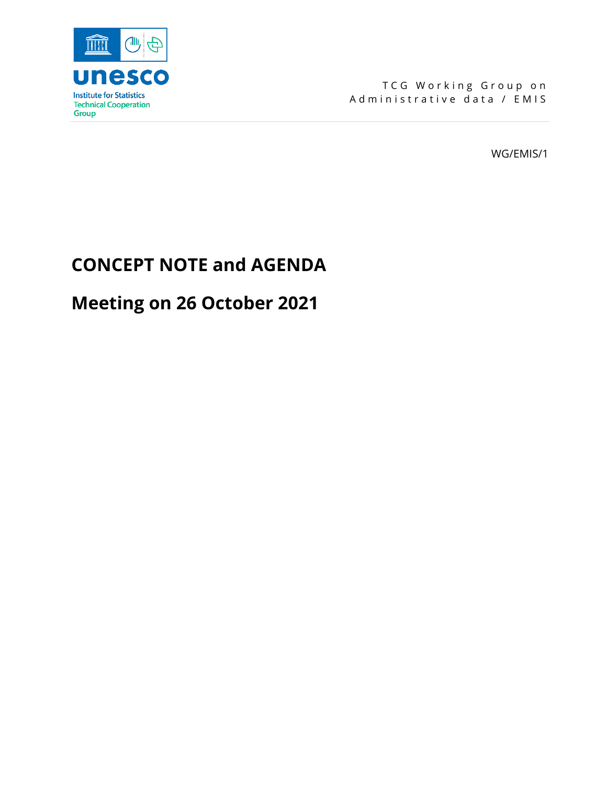

TCG Working Group on Administrative data / EMIS

WG/EMIS/1

## **CONCEPT NOTE and AGENDA**

# **Meeting on 26 October 2021**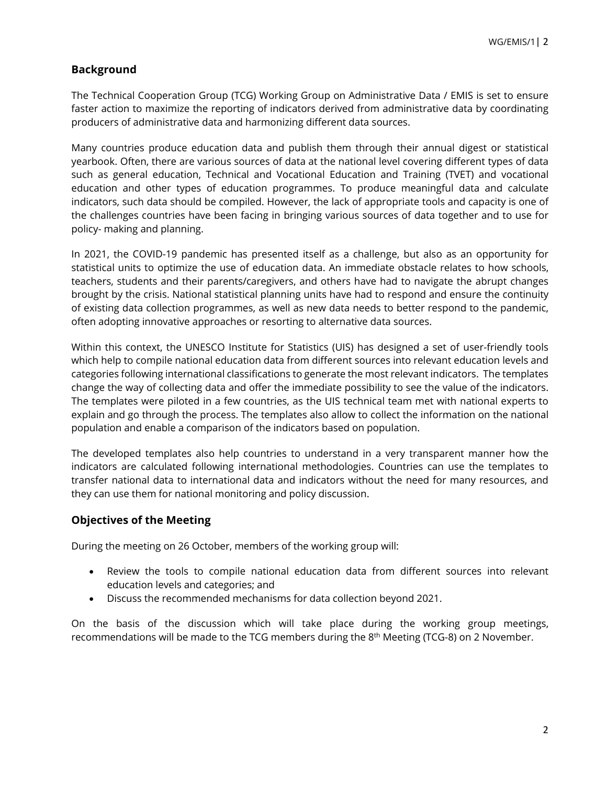## **Background**

The Technical Cooperation Group (TCG) Working Group on Administrative Data / EMIS is set to ensure faster action to maximize the reporting of indicators derived from administrative data by coordinating producers of administrative data and harmonizing different data sources.

Many countries produce education data and publish them through their annual digest or statistical yearbook. Often, there are various sources of data at the national level covering different types of data such as general education, Technical and Vocational Education and Training (TVET) and vocational education and other types of education programmes. To produce meaningful data and calculate indicators, such data should be compiled. However, the lack of appropriate tools and capacity is one of the challenges countries have been facing in bringing various sources of data together and to use for policy- making and planning.

In 2021, the COVID-19 pandemic has presented itself as a challenge, but also as an opportunity for statistical units to optimize the use of education data. An immediate obstacle relates to how schools, teachers, students and their parents/caregivers, and others have had to navigate the abrupt changes brought by the crisis. National statistical planning units have had to respond and ensure the continuity of existing data collection programmes, as well as new data needs to better respond to the pandemic, often adopting innovative approaches or resorting to alternative data sources.

Within this context, the UNESCO Institute for Statistics (UIS) has designed a set of user-friendly tools which help to compile national education data from different sources into relevant education levels and categories following international classifications to generate the most relevant indicators. The templates change the way of collecting data and offer the immediate possibility to see the value of the indicators. The templates were piloted in a few countries, as the UIS technical team met with national experts to explain and go through the process. The templates also allow to collect the information on the national population and enable a comparison of the indicators based on population.

The developed templates also help countries to understand in a very transparent manner how the indicators are calculated following international methodologies. Countries can use the templates to transfer national data to international data and indicators without the need for many resources, and they can use them for national monitoring and policy discussion.

#### **Objectives of the Meeting**

During the meeting on 26 October, members of the working group will:

- Review the tools to compile national education data from different sources into relevant education levels and categories; and
- Discuss the recommended mechanisms for data collection beyond 2021.

On the basis of the discussion which will take place during the working group meetings, recommendations will be made to the TCG members during the 8<sup>th</sup> Meeting (TCG-8) on 2 November.